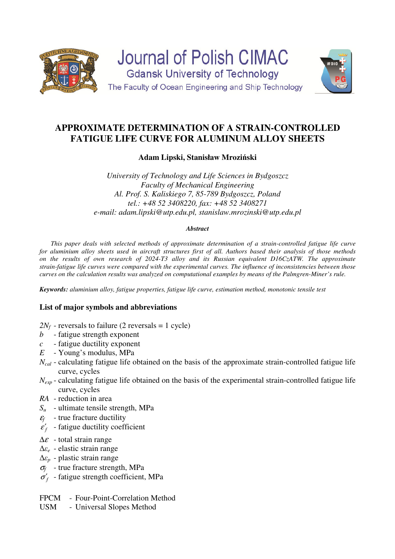



# **APPROXIMATE DETERMINATION OF A STRAIN-CONTROLLED FATIGUE LIFE CURVE FOR ALUMINUM ALLOY SHEETS**

**Adam Lipski, Stanisław Mroziński** 

*University of Technology and Life Sciences in Bydgoszcz Faculty of Mechanical Engineering Al. Prof. S. Kaliskiego 7, 85-789 Bydgoszcz, Poland tel.: +48 52 3408220, fax: +48 52 3408271 e-mail: adam.lipski@utp.edu.pl, stanislaw.mrozinski@utp.edu.pl* 

## *Abstract*

*This paper deals with selected methods of approximate determination of a strain-controlled fatigue life curve for aluminium alloy sheets used in aircraft structures first of all. Authors based their analysis of those methods on the results of own research of 2024-T3 alloy and its Russian equivalent D16CzATW. The approximate strain-fatigue life curves were compared with the experimental curves. The influence of inconsistencies between those curves on the calculation results was analyzed on computational examples by means of the Palmgren-Miner's rule.*

*Keywords: aluminium alloy, fatigue properties, fatigue life curve, estimation method, monotonic tensile test* 

# **List of major symbols and abbreviations**

- $2N_f$  reversals to failure (2 reversals = 1 cycle)
- *b* fatigue strength exponent
- *c* fatigue ductility exponent
- *E* Young's modulus, MPa
- *N<sub>cal</sub>* calculating fatigue life obtained on the basis of the approximate strain-controlled fatigue life curve, cycles
- *Nexp* calculating fatigue life obtained on the basis of the experimental strain-controlled fatigue life curve, cycles
- *RA* reduction in area
- *Su* ultimate tensile strength, MPa
- $\varepsilon_f$  true fracture ductility
- $\varepsilon'_{f}$  fatigue ductility coefficient
- $\Delta \varepsilon$  total strain range
- ∆*εe* elastic strain range
- ∆*εp* plastic strain range
- σ*f* - true fracture strength, MPa
- $\sigma'_{f}$  fatigue strength coefficient, MPa
- FPCM Four-Point-Correlation Method
- USM Universal Slopes Method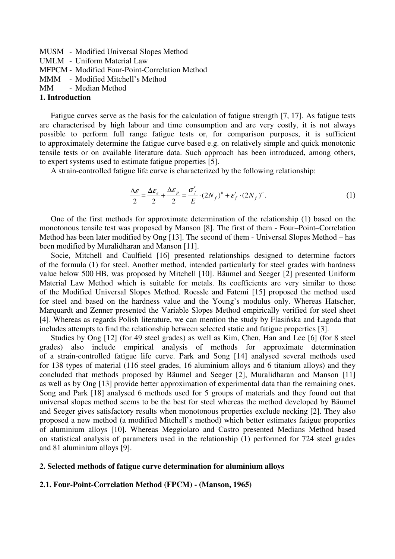MUSM - Modified Universal Slopes Method UMLM - Uniform Material Law MFPCM - Modified Four-Point-Correlation Method MMM - Modified Mitchell's Method MM - Median Method **1. Introduction** 

Fatigue curves serve as the basis for the calculation of fatigue strength [7, 17]. As fatigue tests are characterised by high labour and time consumption and are very costly, it is not always possible to perform full range fatigue tests or, for comparison purposes, it is sufficient to approximately determine the fatigue curve based e.g. on relatively simple and quick monotonic tensile tests or on available literature data. Such approach has been introduced, among others, to expert systems used to estimate fatigue properties [5].

A strain-controlled fatigue life curve is characterized by the following relationship:

$$
\frac{\Delta \varepsilon}{2} = \frac{\Delta \varepsilon_e}{2} + \frac{\Delta \varepsilon_p}{2} = \frac{\sigma_f'}{E} \cdot (2N_f)^b + \varepsilon_f' \cdot (2N_f)^c.
$$
 (1)

One of the first methods for approximate determination of the relationship (1) based on the monotonous tensile test was proposed by Manson [8]. The first of them - Four–Point–Correlation Method has been later modified by Ong [13]. The second of them - Universal Slopes Method – has been modified by Muralidharan and Manson [11].

Socie, Mitchell and Caulfield [16] presented relationships designed to determine factors of the formula (1) for steel. Another method, intended particularly for steel grades with hardness value below 500 HB, was proposed by Mitchell [10]. Bäumel and Seeger [2] presented Uniform Material Law Method which is suitable for metals. Its coefficients are very similar to those of the Modified Universal Slopes Method. Roessle and Fatemi [15] proposed the method used for steel and based on the hardness value and the Young's modulus only. Whereas Hatscher, Marquardt and Zenner presented the Variable Slopes Method empirically verified for steel sheet [4]. Whereas as regards Polish literature, we can mention the study by Flasińska and Łagoda that includes attempts to find the relationship between selected static and fatigue properties [3].

Studies by Ong [12] (for 49 steel grades) as well as Kim, Chen, Han and Lee [6] (for 8 steel grades) also include empirical analysis of methods for approximate determination of a strain-controlled fatigue life curve. Park and Song [14] analysed several methods used for 138 types of material (116 steel grades, 16 aluminium alloys and 6 titanium alloys) and they concluded that methods proposed by Bäumel and Seeger [2], Muralidharan and Manson [11] as well as by Ong [13] provide better approximation of experimental data than the remaining ones. Song and Park [18] analysed 6 methods used for 5 groups of materials and they found out that universal slopes method seems to be the best for steel whereas the method developed by Bäumel and Seeger gives satisfactory results when monotonous properties exclude necking [2]. They also proposed a new method (a modified Mitchell's method) which better estimates fatigue properties of aluminium alloys [10]. Whereas Meggiolaro and Castro presented Medians Method based on statistical analysis of parameters used in the relationship (1) performed for 724 steel grades and 81 aluminium alloys [9].

#### **2. Selected methods of fatigue curve determination for aluminium alloys**

### **2.1. Four-Point-Correlation Method (FPCM) - (Manson, 1965)**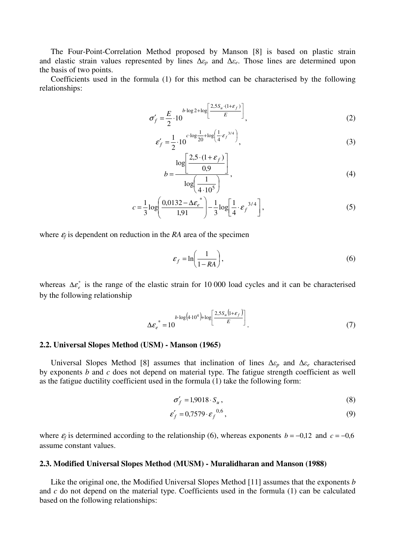The Four-Point-Correlation Method proposed by Manson [8] is based on plastic strain and elastic strain values represented by lines ∆*εp* and ∆*εe*. Those lines are determined upon the basis of two points.

Coefficients used in the formula (1) for this method can be characterised by the following relationships:

$$
\sigma_f' = \frac{E}{2} \cdot 10^{-b \cdot \log 2 + \log \left[\frac{2.5 S_u \cdot (1 + \varepsilon_f)}{E}\right]},
$$
\n(2)

$$
\varepsilon_f' = \frac{1}{2} \cdot 10^{-c \cdot \log \frac{1}{20} + \log \left( \frac{1}{4} \cdot \varepsilon_f^{-3/4} \right)},
$$
\n(3)

$$
b = \frac{\log \left[\frac{2.5 \cdot (1 + \varepsilon_f)}{0.9}\right]}{\log \left(\frac{1}{4 \cdot 10^5}\right)},
$$
\n(4)

$$
c = \frac{1}{3} \log \left( \frac{0.0132 - \Delta \varepsilon_e^*}{1.91} \right) - \frac{1}{3} \log \left[ \frac{1}{4} \cdot \varepsilon_f^{-3/4} \right],\tag{5}
$$

where  $\varepsilon_f$  is dependent on reduction in the *RA* area of the specimen

$$
\varepsilon_f = \ln\left(\frac{1}{1 - RA}\right),\tag{6}
$$

whereas  $\Delta \varepsilon_e^*$  is the range of the elastic strain for 10 000 load cycles and it can be characterised by the following relationship

$$
\Delta \varepsilon_e^* = 10 \qquad b \cdot \log(4 \cdot 10^4) + \log \left[ \frac{2.5 S_u \left(1 + \varepsilon_f\right)}{E} \right] \tag{7}
$$

#### **2.2. Universal Slopes Method (USM) - Manson (1965)**

Universal Slopes Method [8] assumes that inclination of lines ∆*εp* and ∆*εe* characterised by exponents *b* and *c* does not depend on material type. The fatigue strength coefficient as well as the fatigue ductility coefficient used in the formula (1) take the following form:

$$
\sigma'_f = 1,9018 \cdot S_u, \tag{8}
$$

$$
\varepsilon_f' = 0.7579 \cdot \varepsilon_f^{0.6},\tag{9}
$$

where  $\varepsilon_f$  is determined according to the relationship (6), whereas exponents *b* = −0,12 and *c* = −0,6 assume constant values.

#### **2.3. Modified Universal Slopes Method (MUSM) - Muralidharan and Manson (1988)**

Like the original one, the Modified Universal Slopes Method [11] assumes that the exponents *b* and *c* do not depend on the material type. Coefficients used in the formula (1) can be calculated based on the following relationships: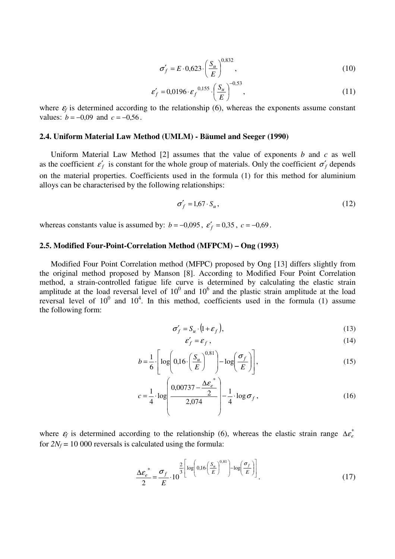$$
\sigma'_f = E \cdot 0.623 \cdot \left(\frac{S_u}{E}\right)^{0.832},\tag{10}
$$

$$
\varepsilon_f' = 0.0196 \cdot \varepsilon_f^{0,155} \cdot \left(\frac{S_u}{E}\right)^{-0,53},\tag{11}
$$

where  $\varepsilon_f$  is determined according to the relationship (6), whereas the exponents assume constant values:  $b = -0.09$  and  $c = -0.56$ .

#### **2.4. Uniform Material Law Method (UMLM) - Bäumel and Seeger (1990)**

Uniform Material Law Method [2] assumes that the value of exponents *b* and *c* as well as the coefficient  $\varepsilon'_{f}$  is constant for the whole group of materials. Only the coefficient  $\sigma'_{f}$  depends on the material properties. Coefficients used in the formula (1) for this method for aluminium alloys can be characterised by the following relationships:

$$
\sigma_f' = 1.67 \cdot S_u, \qquad (12)
$$

whereas constants value is assumed by:  $b = -0.095$ ,  $\varepsilon'_{f} = 0.35$ ,  $c = -0.69$ .

#### **2.5. Modified Four-Point-Correlation Method (MFPCM) – Ong (1993)**

Modified Four Point Correlation method (MFPC) proposed by Ong [13] differs slightly from the original method proposed by Manson [8]. According to Modified Four Point Correlation method, a strain-controlled fatigue life curve is determined by calculating the elastic strain amplitude at the load reversal level of  $10<sup>0</sup>$  and  $10<sup>6</sup>$  and the plastic strain amplitude at the load reversal level of  $10^0$  and  $10^4$ . In this method, coefficients used in the formula (1) assume the following form:

$$
\sigma_f' = S_u \cdot (1 + \varepsilon_f), \tag{13}
$$

$$
\varepsilon_f' = \varepsilon_f \,,\tag{14}
$$

$$
b = \frac{1}{6} \cdot \left[ \log \left( 0.16 \cdot \left( \frac{S_u}{E} \right)^{0.81} \right) - \log \left( \frac{\sigma_f}{E} \right) \right],\tag{15}
$$

$$
c = \frac{1}{4} \cdot \log \left( \frac{0.00737 - \frac{\Delta \varepsilon_e^*}{2}}{2.074} \right) - \frac{1}{4} \cdot \log \sigma_f,
$$
 (16)

where  $\varepsilon_f$  is determined according to the relationship (6), whereas the elastic strain range  $\Delta \varepsilon_e^*$ for  $2N_f$  = 10 000 reversals is calculated using the formula:

$$
\frac{\Delta \varepsilon_e^*}{2} = \frac{\sigma_f}{E} \cdot 10^{-3} \left[ \log \left( 0.16 \left( \frac{S_u}{E} \right)^{0.81} \right) - \log \left( \frac{\sigma_f}{E} \right) \right].
$$
\n(17)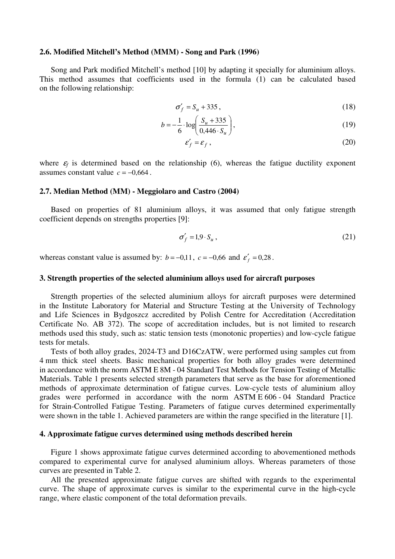#### **2.6. Modified Mitchell's Method (MMM) - Song and Park (1996)**

Song and Park modified Mitchell's method [10] by adapting it specially for aluminium alloys. This method assumes that coefficients used in the formula (1) can be calculated based on the following relationship:

$$
\sigma_f' = S_u + 335 \,, \tag{18}
$$

$$
b = -\frac{1}{6} \cdot \log \left( \frac{S_u + 335}{0.446 \cdot S_u} \right),\tag{19}
$$

$$
\varepsilon_f' = \varepsilon_f \,,\tag{20}
$$

where  $\varepsilon_f$  is determined based on the relationship (6), whereas the fatigue ductility exponent assumes constant value  $c = -0.664$ .

#### **2.7. Median Method (MM) - Meggiolaro and Castro (2004)**

Based on properties of 81 aluminium alloys, it was assumed that only fatigue strength coefficient depends on strengths properties [9]:

$$
\sigma_f' = 1.9 \cdot S_u, \qquad (21)
$$

whereas constant value is assumed by:  $b = -0.11$ ,  $c = -0.66$  and  $\varepsilon'_{f} = 0.28$ .

#### **3. Strength properties of the selected aluminium alloys used for aircraft purposes**

Strength properties of the selected aluminium alloys for aircraft purposes were determined in the Institute Laboratory for Material and Structure Testing at the University of Technology and Life Sciences in Bydgoszcz accredited by Polish Centre for Accreditation (Accreditation Certificate No. AB 372). The scope of accreditation includes, but is not limited to research methods used this study, such as: static tension tests (monotonic properties) and low-cycle fatigue tests for metals.

Tests of both alloy grades, 2024-T3 and D16CzATW, were performed using samples cut from 4 mm thick steel sheets. Basic mechanical properties for both alloy grades were determined in accordance with the norm ASTM E 8M - 04 Standard Test Methods for Tension Testing of Metallic Materials. Table 1 presents selected strength parameters that serve as the base for aforementioned methods of approximate determination of fatigue curves. Low-cycle tests of aluminium alloy grades were performed in accordance with the norm ASTM E 606 - 04 Standard Practice for Strain-Controlled Fatigue Testing. Parameters of fatigue curves determined experimentally were shown in the table 1. Achieved parameters are within the range specified in the literature [1].

#### **4. Approximate fatigue curves determined using methods described herein**

Figure 1 shows approximate fatigue curves determined according to abovementioned methods compared to experimental curve for analysed aluminium alloys. Whereas parameters of those curves are presented in Table 2.

All the presented approximate fatigue curves are shifted with regards to the experimental curve. The shape of approximate curves is similar to the experimental curve in the high-cycle range, where elastic component of the total deformation prevails.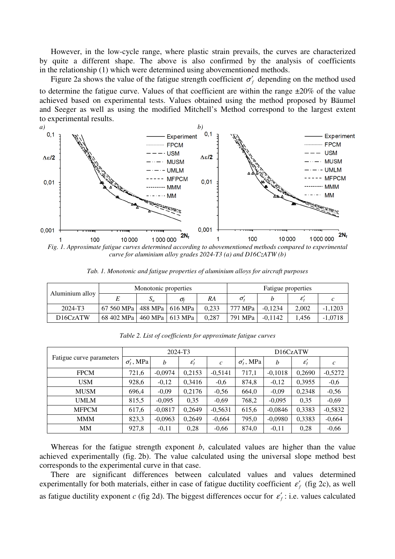However, in the low-cycle range, where plastic strain prevails, the curves are characterized by quite a different shape. The above is also confirmed by the analysis of coefficients in the relationship (1) which were determined using abovementioned methods.

Figure 2a shows the value of the fatigue strength coefficient  $\sigma'_f$  depending on the method used to determine the fatigue curve. Values of that coefficient are within the range  $\pm 20\%$  of the value achieved based on experimental tests. Values obtained using the method proposed by Bäumel and Seeger as well as using the modified Mitchell's Method correspond to the largest extent to experimental results.



*Fig. 1. Approximate fatigue curves determined according to abovementioned methods compared to experimental curve for aluminium alloy grades 2024-T3 (a) and D16CzATW (b)* 

| Aluminium alloy                   | Monotonic properties |                   |                  |       | Fatigue properties               |           |       |           |
|-----------------------------------|----------------------|-------------------|------------------|-------|----------------------------------|-----------|-------|-----------|
|                                   |                      | יי ט              | $\sigma_{\rm f}$ | RA    | $\sigma_{\scriptscriptstyle{f}}$ |           |       |           |
| 2024-T <sub>3</sub>               | 67 560 MPa l         | 488 MPa   616 MPa |                  | 0.233 | 777 MPa                          | $-0.1234$ | 2,002 | $-1,1203$ |
| D <sub>16</sub> C <sub>zATW</sub> | 68 402 MPa l         | 460 MPa   613 MPa |                  | 0.287 | 791 MPa                          | $-0.1142$ | 1.456 | $-1.0718$ |

*Tab. 1. Monotonic and fatigue properties of aluminium alloys for aircraft purposes* 

|                          | 2024-T3             |           |                        |               | D16CzATW            |                  |                  |               |
|--------------------------|---------------------|-----------|------------------------|---------------|---------------------|------------------|------------------|---------------|
| Fatigue curve parameters | $\sigma'_{t}$ , MPa | h         | $\varepsilon_{\rm f}'$ | $\mathcal{C}$ | $\sigma'_{t}$ , MPa | $\boldsymbol{b}$ | $\varepsilon'_f$ | $\mathcal{C}$ |
| <b>FPCM</b>              | 721,6               | $-0,0974$ | 0,2153                 | $-0,5141$     | 717,1               | $-0,1018$        | 0,2690           | $-0,5272$     |
| <b>USM</b>               | 928,6               | $-0,12$   | 0,3416                 | $-0.6$        | 874,8               | $-0,12$          | 0,3955           | $-0,6$        |
| <b>MUSM</b>              | 696,4               | $-0,09$   | 0,2176                 | $-0,56$       | 664,0               | $-0,09$          | 0,2348           | $-0,56$       |
| <b>UMLM</b>              | 815,5               | $-0,095$  | 0,35                   | $-0,69$       | 768,2               | $-0,095$         | 0,35             | $-0,69$       |
| <b>MFPCM</b>             | 617,6               | $-0,0817$ | 0.2649                 | $-0,5631$     | 615,6               | $-0,0846$        | 0,3383           | $-0,5832$     |
| <b>MMM</b>               | 823,3               | $-0,0963$ | 0.2649                 | $-0,664$      | 795,0               | $-0,0980$        | 0,3383           | $-0,664$      |
| <b>MM</b>                | 927,8               | $-0,11$   | 0,28                   | $-0,66$       | 874,0               | $-0,11$          | 0,28             | $-0,66$       |

*Table 2. List of coefficients for approximate fatigue curves* 

Whereas for the fatigue strength exponent *b*, calculated values are higher than the value achieved experimentally (fig. 2b). The value calculated using the universal slope method best corresponds to the experimental curve in that case.

There are significant differences between calculated values and values determined experimentally for both materials, either in case of fatigue ductility coefficient  $\varepsilon'_{f}$  (fig 2c), as well as fatigue ductility exponent *c* (fig 2d). The biggest differences occur for  $\varepsilon'_{f}$ : i.e. values calculated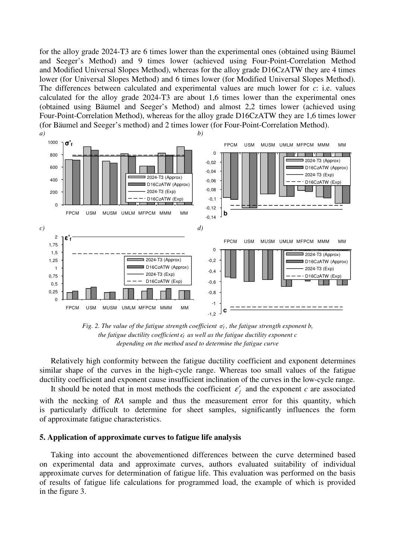for the alloy grade 2024-T3 are 6 times lower than the experimental ones (obtained using Bäumel and Seeger's Method) and 9 times lower (achieved using Four-Point-Correlation Method and Modified Universal Slopes Method), whereas for the alloy grade D16CzATW they are 4 times lower (for Universal Slopes Method) and 6 times lower (for Modified Universal Slopes Method). The differences between calculated and experimental values are much lower for *c*: i.e. values calculated for the alloy grade 2024-T3 are about 1,6 times lower than the experimental ones (obtained using Bäumel and Seeger's Method) and almost 2,2 times lower (achieved using Four-Point-Correlation Method), whereas for the alloy grade D16CzATW they are 1,6 times lower (for Bäumel and Seeger's method) and 2 times lower (for Four-Point-Correlation Method).



*Fig. 2. The value of the fatigue strength coefficient*  $σ<sub>f</sub>$ *, the fatigue strength exponent b, the fatigue ductility coefficient ε*<sup>f</sup> ′ *as well as the fatigue ductility exponent c depending on the method used to determine the fatigue curve* 

Relatively high conformity between the fatigue ductility coefficient and exponent determines similar shape of the curves in the high-cycle range. Whereas too small values of the fatigue ductility coefficient and exponent cause insufficient inclination of the curves in the low-cycle range.

It should be noted that in most methods the coefficient  $\varepsilon'_{f}$  and the exponent *c* are associated with the necking of RA sample and thus the measurement error for this quantity, which is particularly difficult to determine for sheet samples, significantly influences the form of approximate fatigue characteristics.

#### **5. Application of approximate curves to fatigue life analysis**

Taking into account the abovementioned differences between the curve determined based on experimental data and approximate curves, authors evaluated suitability of individual approximate curves for determination of fatigue life. This evaluation was performed on the basis of results of fatigue life calculations for programmed load, the example of which is provided in the figure 3.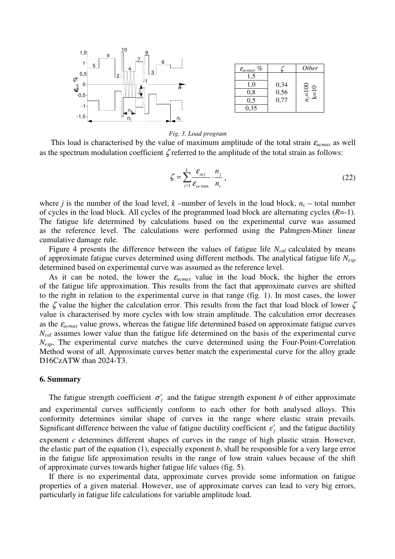

| %<br>$\mathcal{E}_{acmax}$ |                  | <i>Other</i>              |
|----------------------------|------------------|---------------------------|
| 1.5                        |                  |                           |
| 1,0                        |                  | $\overline{100}$<br>$\Xi$ |
| $_{0,8}$                   | $0,34$<br>$0,56$ |                           |
| 0,5                        | 0,77             | $n_c$                     |
| 0.35                       |                  |                           |

#### *Fig. 3. Load program*

This load is characterised by the value of maximum amplitude of the total strain  $\varepsilon_{acmax}$  as well as the spectrum modulation coefficient ζ referred to the amplitude of the total strain as follows:

$$
\zeta = \sum_{j=1}^{k} \frac{\mathcal{E}_{acj}}{\mathcal{E}_{ac\max}} \cdot \frac{n_j}{n_c},\tag{22}
$$

where *j* is the number of the load level, *k* –number of levels in the load block,  $n_c$  – total number of cycles in the load block. All cycles of the programmed load block are alternating cycles (*R*=-1). The fatigue life determined by calculations based on the experimental curve was assumed as the reference level. The calculations were performed using the Palmgren-Miner linear cumulative damage rule.

Figure 4 presents the difference between the values of fatigue life *Ncal* calculated by means of approximate fatigue curves determined using different methods. The analytical fatigue life *Nexp* determined based on experimental curve was assumed as the reference level.

As it can be noted, the lower the  $\varepsilon_{acmax}$  value in the load block, the higher the errors of the fatigue life approximation. This results from the fact that approximate curves are shifted to the right in relation to the experimental curve in that range (fig. 1). In most cases, the lower the  $\zeta$  value the higher the calculation error. This results from the fact that load block of lower  $\zeta$ value is characterised by more cycles with low strain amplitude. The calculation error decreases as the  $\varepsilon_{acmax}$  value grows, whereas the fatigue life determined based on approximate fatigue curves *Ncal* assumes lower value than the fatigue life determined on the basis of the experimental curve *N<sub>exp</sub>*. The experimental curve matches the curve determined using the Four-Point-Correlation Method worst of all. Approximate curves better match the experimental curve for the alloy grade D16CzATW than 2024-T3.

#### **6. Summary**

The fatigue strength coefficient  $\sigma'_f$  and the fatigue strength exponent *b* of either approximate and experimental curves sufficiently conform to each other for both analysed alloys. This conformity determines similar shape of curves in the range where elastic strain prevails. Significant difference between the value of fatigue ductility coefficient  $\varepsilon'_{f}$  and the fatigue ductility exponent *c* determines different shapes of curves in the range of high plastic strain. However, the elastic part of the equation (1), especially exponent *b*, shall be responsible for a very large error in the fatigue life approximation results in the range of low strain values because of the shift of approximate curves towards higher fatigue life values (fig. 5).

If there is no experimental data, approximate curves provide some information on fatigue properties of a given material. However, use of approximate curves can lead to very big errors, particularly in fatigue life calculations for variable amplitude load.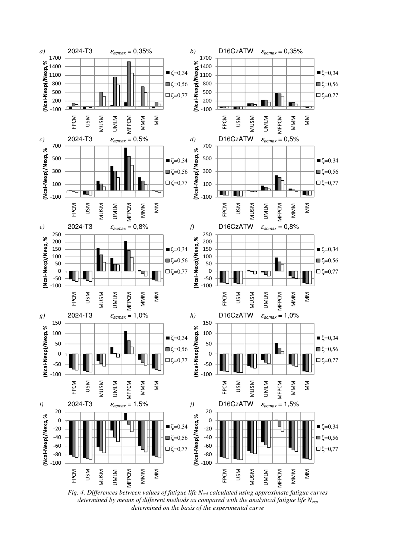

*Fig. 4. Differences between values of fatigue life Ncal calculated using approximate fatigue curves determined by means of different methods as compared with the analytical fatigue life Nexp determined on the basis of the experimental curve*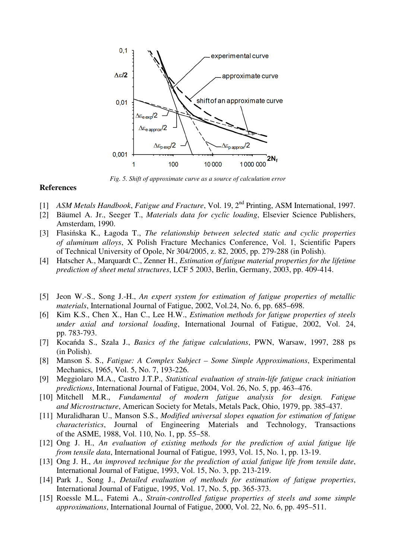

*Fig. 5. Shift of approximate curve as a source of calculation error* 

### **References**

- [1] *ASM Metals Handbook*, *Fatigue and Fracture*, Vol. 19, 2nd Printing, ASM International, 1997.
- [2] Bäumel A. Jr., Seeger T., *Materials data for cyclic loading*, Elsevier Science Publishers, Amsterdam, 1990.
- [3] Flasińska K., Łagoda T., *The relationship between selected static and cyclic properties of aluminum alloys*, X Polish Fracture Mechanics Conference, Vol. 1, Scientific Papers of Technical University of Opole, Nr 304/2005, z. 82, 2005, pp. 279-288 (in Polish).
- [4] Hatscher A., Marquardt C., Zenner H., *Estimation of fatigue material properties for the lifetime prediction of sheet metal structures*, LCF 5 2003, Berlin, Germany, 2003, pp. 409-414.
- [5] Jeon W.-S., Song J.-H., *An expert system for estimation of fatigue properties of metallic materials*, International Journal of Fatigue, 2002, Vol.24, No. 6, pp. 685–698.
- [6] Kim K.S., Chen X., Han C., Lee H.W., *Estimation methods for fatigue properties of steels under axial and torsional loading*, International Journal of Fatigue, 2002, Vol. 24, pp. 783-793.
- [7] Kocańda S., Szala J., *Basics of the fatigue calculations*, PWN, Warsaw, 1997, 288 ps (in Polish).
- [8] Manson S. S., *Fatigue: A Complex Subject Some Simple Approximations*, Experimental Mechanics, 1965, Vol. 5, No. 7, 193-226.
- [9] Meggiolaro M.A., Castro J.T.P., *Statistical evaluation of strain-life fatigue crack initiation predictions*, International Journal of Fatigue, 2004, Vol. 26, No. 5, pp. 463–476.
- [10] Mitchell M.R., *Fundamental of modern fatigue analysis for design. Fatigue and Microstructure*, American Society for Metals, Metals Pack, Ohio, 1979, pp. 385-437.
- [11] Muralidharan U., Manson S.S., *Modified universal slopes equation for estimation of fatigue characteristics*, Journal of Engineering Materials and Technology, Transactions of the ASME, 1988, Vol. 110, No. 1, pp. 55–58.
- [12] Ong J. H., *An evaluation of existing methods for the prediction of axial fatigue life from tensile data*, International Journal of Fatigue, 1993, Vol. 15, No. 1, pp. 13-19.
- [13] Ong J. H., *An improved technique for the prediction of axial fatigue life from tensile date*, International Journal of Fatigue, 1993, Vol. 15, No. 3, pp. 213-219.
- [14] Park J., Song J., *Detailed evaluation of methods for estimation of fatigue properties*, International Journal of Fatigue, 1995, Vol. 17, No. 5, pp. 365-373.
- [15] Roessle M.L., Fatemi A., *Strain-controlled fatigue properties of steels and some simple approximations*, International Journal of Fatigue, 2000, Vol. 22, No. 6, pp. 495–511.